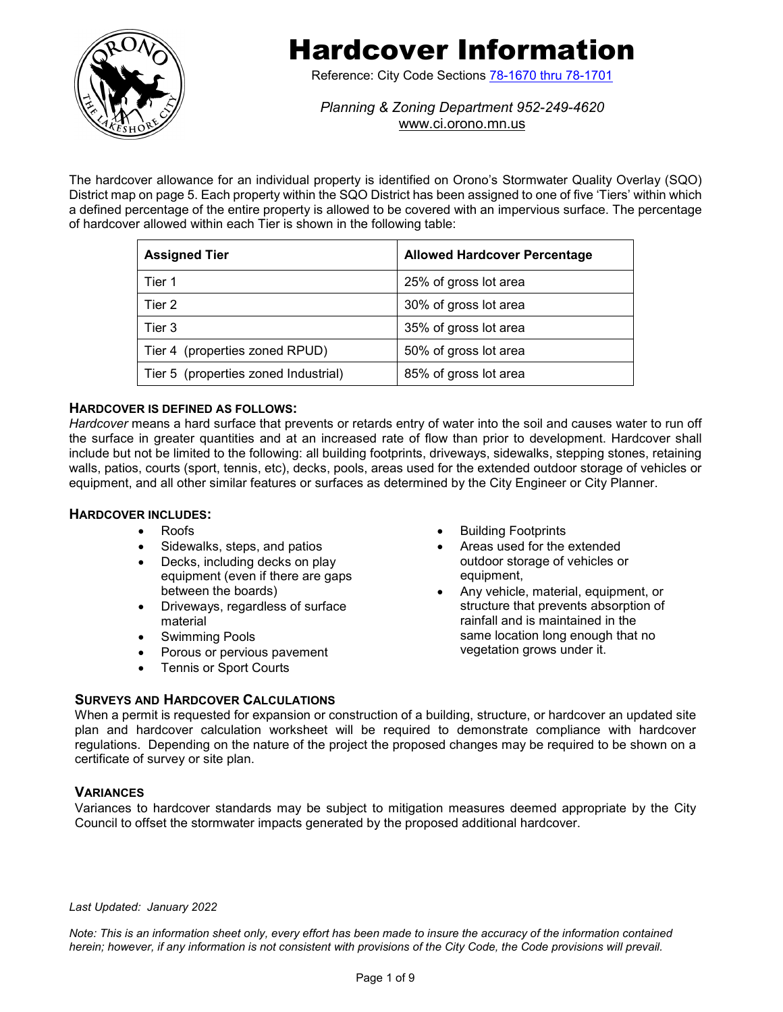

# Hardcover Information

Reference: City Code Sections [78-1670 thru 78-1701](https://library.municode.com/mn/orono/codes/code_of_ordinances?nodeId=TITVILAUS_CH78ZORE_ARTXIIISTQUOVDI_DIV2GEREALPAWISTQUOVDI_S78-1685MAST)

*Planning & Zoning Department 952-249-4620* [www.ci.orono.mn.us](http://www.ci.orono.mn.us/)

The hardcover allowance for an individual property is identified on Orono's Stormwater Quality Overlay (SQO) District map on page 5. Each property within the SQO District has been assigned to one of five 'Tiers' within which a defined percentage of the entire property is allowed to be covered with an impervious surface. The percentage of hardcover allowed within each Tier is shown in the following table:

| <b>Assigned Tier</b>                 | <b>Allowed Hardcover Percentage</b> |
|--------------------------------------|-------------------------------------|
| Tier 1                               | 25% of gross lot area               |
| Tier 2                               | 30% of gross lot area               |
| Tier 3                               | 35% of gross lot area               |
| Tier 4 (properties zoned RPUD)       | 50% of gross lot area               |
| Tier 5 (properties zoned Industrial) | 85% of gross lot area               |

## **HARDCOVER IS DEFINED AS FOLLOWS:**

*Hardcover* means a hard surface that prevents or retards entry of water into the soil and causes water to run off the surface in greater quantities and at an increased rate of flow than prior to development. Hardcover shall include but not be limited to the following: all building footprints, driveways, sidewalks, stepping stones, retaining walls, patios, courts (sport, tennis, etc), decks, pools, areas used for the extended outdoor storage of vehicles or equipment, and all other similar features or surfaces as determined by the City Engineer or City Planner.

## **HARDCOVER INCLUDES:**

- Roofs
- Sidewalks, steps, and patios
- Decks, including decks on play equipment (even if there are gaps between the boards)
- Driveways, regardless of surface material
- Swimming Pools
- Porous or pervious pavement
- Tennis or Sport Courts
- **Building Footprints**
- Areas used for the extended outdoor storage of vehicles or equipment,
- Any vehicle, material, equipment, or structure that prevents absorption of rainfall and is maintained in the same location long enough that no vegetation grows under it.

#### **SURVEYS AND HARDCOVER CALCULATIONS**

When a permit is requested for expansion or construction of a building, structure, or hardcover an updated site plan and hardcover calculation worksheet will be required to demonstrate compliance with hardcover regulations. Depending on the nature of the project the proposed changes may be required to be shown on a certificate of survey or site plan.

## **VARIANCES**

Variances to hardcover standards may be subject to mitigation measures deemed appropriate by the City Council to offset the stormwater impacts generated by the proposed additional hardcover.

#### *Last Updated: January 2022*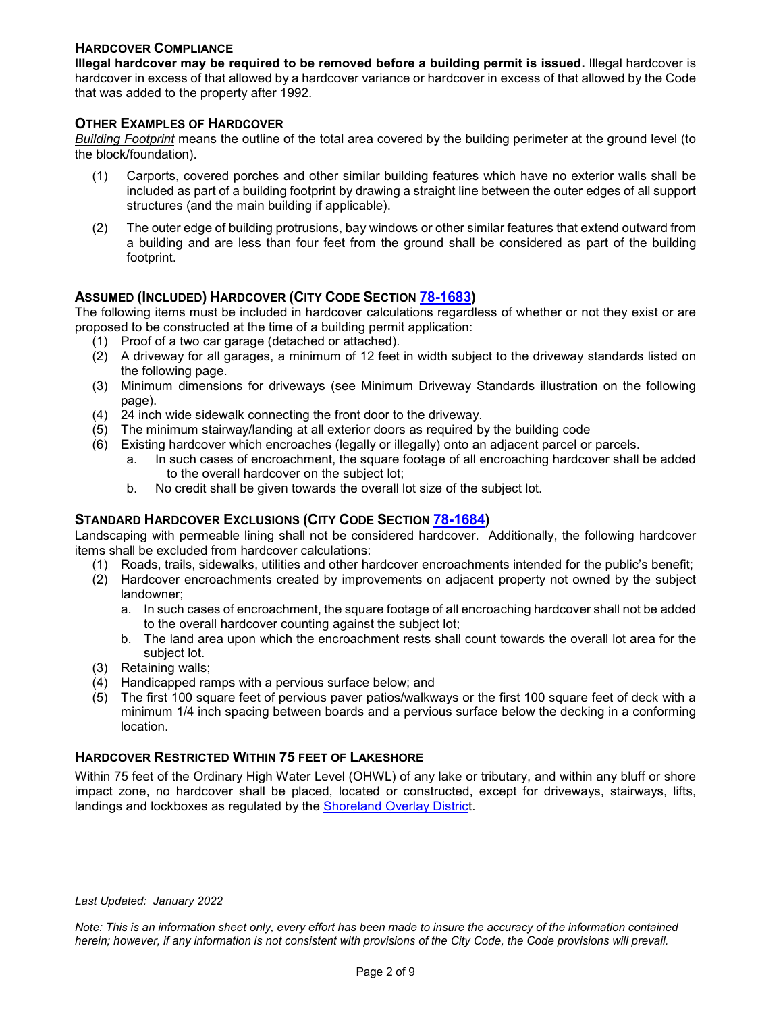## **HARDCOVER COMPLIANCE**

**Illegal hardcover may be required to be removed before a building permit is issued.** Illegal hardcover is hardcover in excess of that allowed by a hardcover variance or hardcover in excess of that allowed by the Code that was added to the property after 1992.

#### **OTHER EXAMPLES OF HARDCOVER**

*Building Footprint* means the outline of the total area covered by the building perimeter at the ground level (to the block/foundation).

- (1) Carports, covered porches and other similar building features which have no exterior walls shall be included as part of a building footprint by drawing a straight line between the outer edges of all support structures (and the main building if applicable).
- (2) The outer edge of building protrusions, bay windows or other similar features that extend outward from a building and are less than four feet from the ground shall be considered as part of the building footprint.

## **ASSUMED (INCLUDED) HARDCOVER (CITY CODE SECTION [78-1683\)](https://library.municode.com/mn/orono/codes/code_of_ordinances?nodeId=TITVILAUS_CH78ZORE_ARTXIIISTQUOVDI_DIV2GEREALPAWISTQUOVDI_S78-1683STHAIN)**

The following items must be included in hardcover calculations regardless of whether or not they exist or are proposed to be constructed at the time of a building permit application:

- (1) Proof of a two car garage (detached or attached).
- (2) A driveway for all garages, a minimum of 12 feet in width subject to the driveway standards listed on the following page.
- (3) Minimum dimensions for driveways (see Minimum Driveway Standards illustration on the following page).
- (4) 24 inch wide sidewalk connecting the front door to the driveway.
- (5) The minimum stairway/landing at all exterior doors as required by the building code
- (6) Existing hardcover which encroaches (legally or illegally) onto an adjacent parcel or parcels.
	- a. In such cases of encroachment, the square footage of all encroaching hardcover shall be added to the overall hardcover on the subject lot;
	- b. No credit shall be given towards the overall lot size of the subject lot.

## **STANDARD HARDCOVER EXCLUSIONS (CITY CODE SECTION [78-1684\)](https://library.municode.com/mn/orono/codes/code_of_ordinances?nodeId=TITVILAUS_CH78ZORE_ARTXIIISTQUOVDI_DIV2GEREALPAWISTQUOVDI_S78-1684STHAEX)**

Landscaping with permeable lining shall not be considered hardcover. Additionally, the following hardcover items shall be excluded from hardcover calculations:

- (1) Roads, trails, sidewalks, utilities and other hardcover encroachments intended for the public's benefit;
- (2) Hardcover encroachments created by improvements on adjacent property not owned by the subject landowner;
	- a. In such cases of encroachment, the square footage of all encroaching hardcover shall not be added to the overall hardcover counting against the subject lot;
	- b. The land area upon which the encroachment rests shall count towards the overall lot area for the subject lot.
- (3) Retaining walls;
- (4) Handicapped ramps with a pervious surface below; and
- (5) The first 100 square feet of pervious paver patios/walkways or the first 100 square feet of deck with a minimum 1/4 inch spacing between boards and a pervious surface below the decking in a conforming location.

## **HARDCOVER RESTRICTED WITHIN 75 FEET OF LAKESHORE**

Within 75 feet of the Ordinary High Water Level (OHWL) of any lake or tributary, and within any bluff or shore impact zone, no hardcover shall be placed, located or constructed, except for driveways, stairways, lifts, landings and lockboxes as regulated by the [Shoreland Overlay District](https://library.municode.com/mn/orono/codes/code_of_ordinances?nodeId=TITVILAUS_CH78ZORE_ARTIXSHMA_DIV3SHOVDIST_S78-1282DRSTLILA).

#### *Last Updated: January 2022*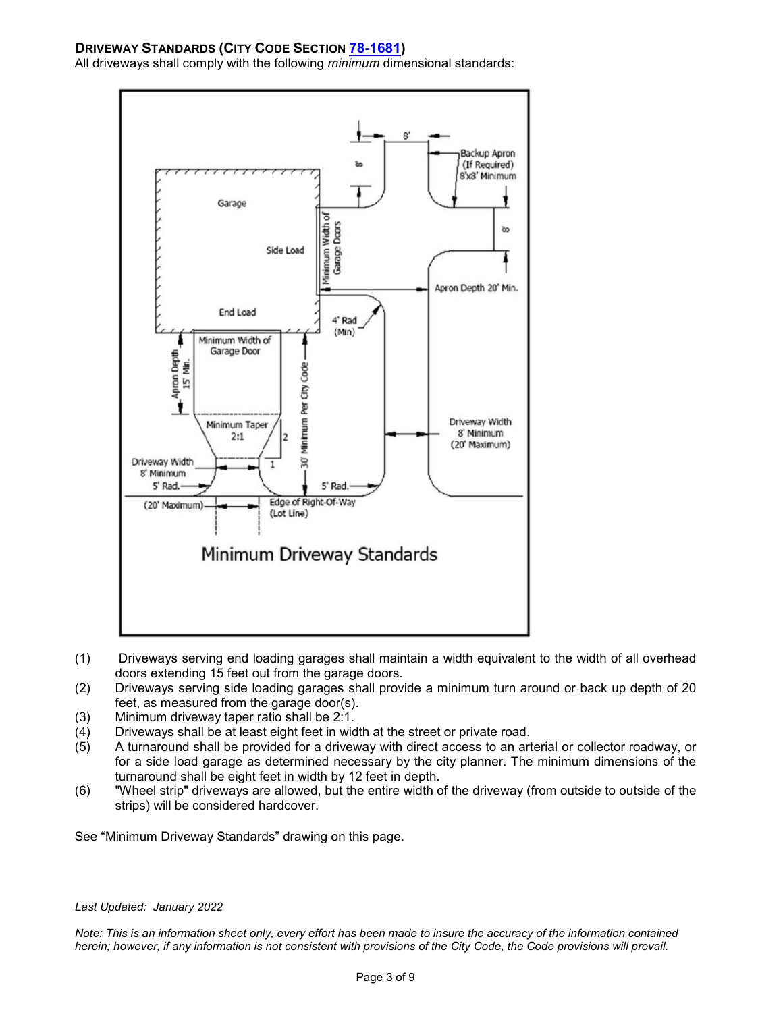## **DRIVEWAY STANDARDS (CITY CODE SECTION [78-1681\)](https://library.municode.com/mn/orono/codes/code_of_ordinances?nodeId=TITVILAUS_CH78ZORE_ARTXIIISTQUOVDI_DIV2GEREALPAWISTQUOVDI_S78-1681DRGE)**

All driveways shall comply with the following *minimum* dimensional standards:



- (1) Driveways serving end loading garages shall maintain a width equivalent to the width of all overhead doors extending 15 feet out from the garage doors.
- (2) Driveways serving side loading garages shall provide a minimum turn around or back up depth of 20 feet, as measured from the garage door(s).
- (3) Minimum driveway taper ratio shall be 2:1.
- (4) Driveways shall be at least eight feet in width at the street or private road.<br>(5) A turnaround shall be provided for a driveway with direct access to an art
- A turnaround shall be provided for a driveway with direct access to an arterial or collector roadway, or for a side load garage as determined necessary by the city planner. The minimum dimensions of the turnaround shall be eight feet in width by 12 feet in depth.
- (6) "Wheel strip" driveways are allowed, but the entire width of the driveway (from outside to outside of the strips) will be considered hardcover.

See "Minimum Driveway Standards" drawing on this page.

#### *Last Updated: January 2022*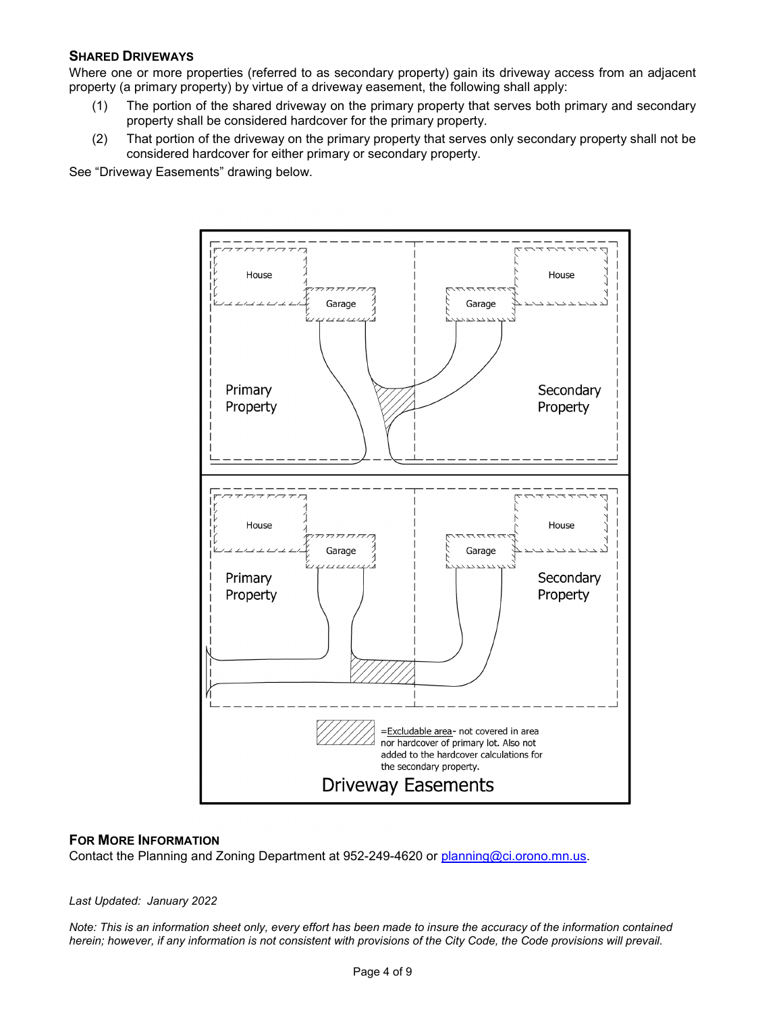## **SHARED DRIVEWAYS**

Where one or more properties (referred to as secondary property) gain its driveway access from an adjacent property (a primary property) by virtue of a driveway easement, the following shall apply:

- (1) The portion of the shared driveway on the primary property that serves both primary and secondary property shall be considered hardcover for the primary property.
- (2) That portion of the driveway on the primary property that serves only secondary property shall not be considered hardcover for either primary or secondary property.

See "Driveway Easements" drawing below.



#### **FOR MORE INFORMATION**

Contact the Planning and Zoning Department at 952-249-4620 or [planning@ci.orono.mn.us.](mailto:planning@ci.orono.mn.us)

*Last Updated: January 2022*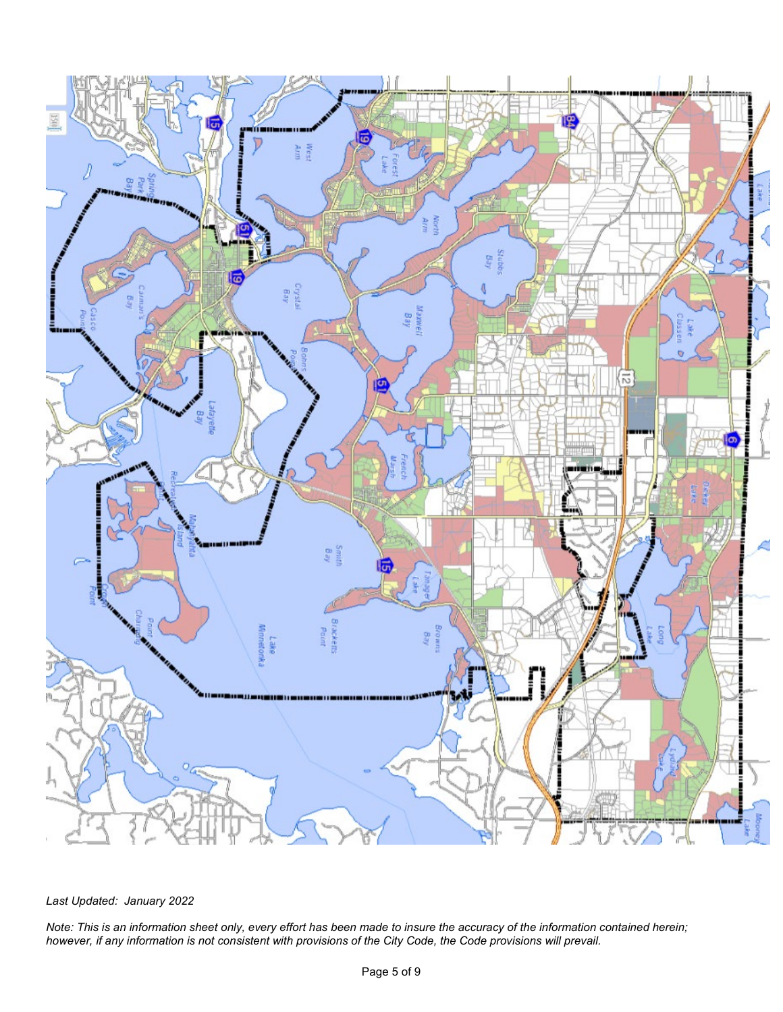

## *Last Updated: January 2022*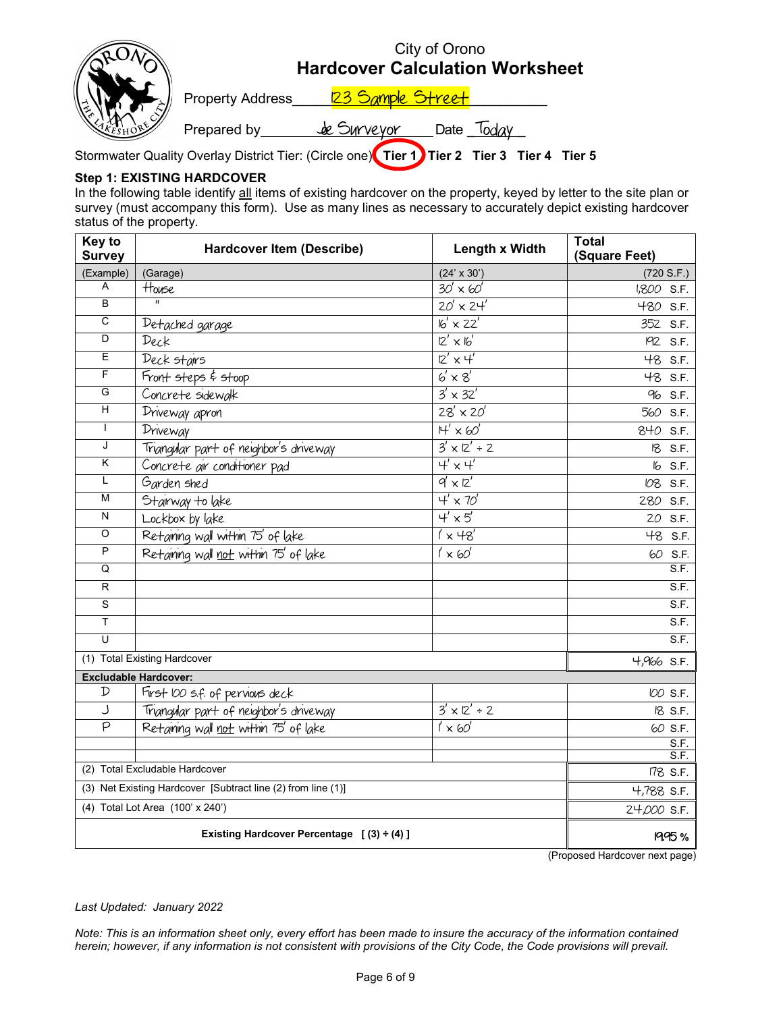|                         |                   | City of Orono<br><b>Hardcover Calculation Worksheet</b>                                    |
|-------------------------|-------------------|--------------------------------------------------------------------------------------------|
| <b>Property Address</b> | 123 Sample Street |                                                                                            |
| Prepared by             | de Surveyor       | Date                                                                                       |
|                         |                   | Stormwater Quality Overlay District Tier: (Circle one) Tier 1) Tier 2 Tier 3 Tier 4 Tier 5 |

## **Step 1: EXISTING HARDCOVER**

In the following table identify all items of existing hardcover on the property, keyed by letter to the site plan or survey (must accompany this form). Use as many lines as necessary to accurately depict existing hardcover status of the property.

| Key to<br><b>Survey</b>                                      | <b>Hardcover Item (Describe)</b>               | Length x Width            | <b>Total</b><br>(Square Feet) |
|--------------------------------------------------------------|------------------------------------------------|---------------------------|-------------------------------|
| (Example)                                                    | (Garage)                                       | $(24' \times 30')$        | (720 S.F.)                    |
| A                                                            | House                                          | $30' \times 60'$          | 1,800 S.F.                    |
| $\overline{B}$                                               | $\overline{u}$                                 | $20' \times 24'$          | 480 S.F.                      |
| $\overline{c}$                                               | Detached garage                                | $16' \times 22'$          | 352 S.F.                      |
| D                                                            | Deck                                           | $12' \times 16'$          | 192 S.F.                      |
| E                                                            | Deck stairs                                    | $2' \times 4'$            | 48 S.F.                       |
| F                                                            | Front steps & stoop                            | $6' \times 8'$            | 48 S.F.                       |
| G                                                            | Concrete sidewalk                              | $3' \times 32'$           | 96 S.F.                       |
| $\overline{\mathsf{H}}$                                      | Driveway apron                                 | $28' \times 20'$          | 560 S.F.                      |
| $\mathsf{L}$                                                 | Driveway                                       | $H' \times 60'$           | 840 S.F.                      |
| J                                                            | Triangular part of neighbor's driveway         | $3' \times 2' \div 2$     | 18 S.F.                       |
| $\overline{\mathsf{K}}$                                      | Concrete air conditioner pad                   | $4' \times 4'$            | 6 S.F.                        |
| L                                                            | Garden shed                                    | $9' \times 12'$           | IO8 S.F.                      |
| М                                                            | Stairway to lake                               | $4' \times 70'$           | 280 S.F.                      |
| N                                                            | Lockbox by lake                                | $\overline{4' \times 5'}$ | 20 S.F.                       |
| $\overline{O}$                                               | Retaining wall within 75' of lake              | $1' \times 48'$           | 48 S.F.                       |
| P                                                            | Retaining wall not within 75' of lake          | $1' \times 60'$           | 60<br>S.F.                    |
| Q                                                            |                                                |                           | S.F.                          |
| R                                                            |                                                |                           | S.F.                          |
| $\overline{s}$                                               |                                                |                           | S.F.                          |
| Ŧ                                                            |                                                |                           | S.F.                          |
| U                                                            |                                                |                           | S.F.                          |
|                                                              | (1) Total Existing Hardcover                   |                           | $4,966$ S.F.                  |
|                                                              | <b>Excludable Hardcover:</b>                   |                           |                               |
| ${\mathcal{D}}$                                              | First 100 s.f. of pervious deck                |                           | IOO S.F.                      |
| J                                                            | Triangular part of neighbor's driveway         | $3' \times 12' \div 2$    | 18 S.F.                       |
| $\overline{\rho}$                                            | Retaining wall not within 75' of lake          | $1' \times 60'$           | 60 S.F.                       |
|                                                              |                                                |                           | S.F.<br>S.F.                  |
|                                                              | (2) Total Excludable Hardcover                 |                           | 178 S.F.                      |
| (3) Net Existing Hardcover [Subtract line (2) from line (1)] |                                                | 4,788 S.F.                |                               |
| (4) Total Lot Area (100' x 240')                             |                                                | 24,000 S.F.               |                               |
|                                                              | Existing Hardcover Percentage $(3) \div (4)$ ] |                           | <b>1995%</b>                  |

(Proposed Hardcover next page)

#### *Last Updated: January 2022*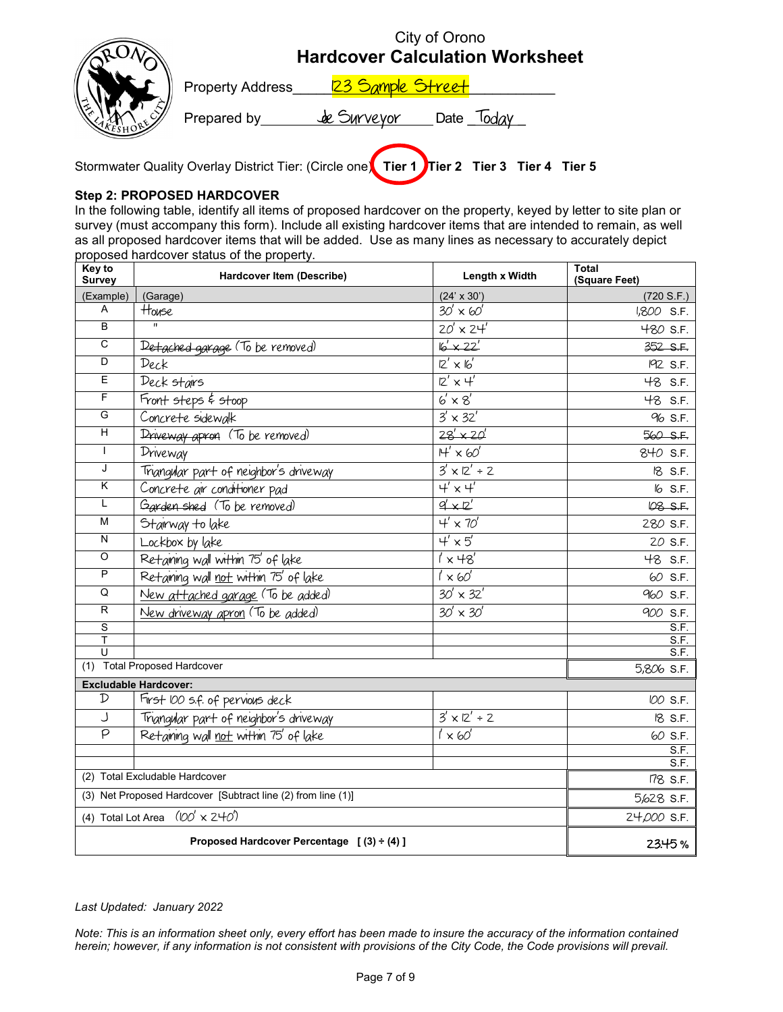|                  | <b>Hardcover Calculation Worksheet</b> | City of Orono |  |
|------------------|----------------------------------------|---------------|--|
| Property Address | 123 Sample Street                      |               |  |
| Prepared by      | de Surveyor                            | Date          |  |
|                  |                                        |               |  |

Stormwater Quality Overlay District Tier: (Circle one) **Tier 1** Tier 2 Tier 3 Tier 4 Tier 5

## **Step 2: PROPOSED HARDCOVER**

In the following table, identify all items of proposed hardcover on the property, keyed by letter to site plan or survey (must accompany this form). Include all existing hardcover items that are intended to remain, as well as all proposed hardcover items that will be added. Use as many lines as necessary to accurately depict proposed hardcover status of the property.

| <b>Key to</b><br><b>Survey</b>                               | Hardcover Item (Describe)                      | Length x Width              | <b>Total</b><br>(Square Feet) |
|--------------------------------------------------------------|------------------------------------------------|-----------------------------|-------------------------------|
| (Example)                                                    | (Garage)                                       | $(24' \times 30')$          | (720 S.F.)                    |
| A                                                            | House                                          | $30' \times 60'$            | 1,800 S.F.                    |
| B                                                            |                                                | $20' \times 24'$            | 480 S.F.                      |
| $\overline{\text{c}}$                                        | Detached garage (To be removed)                | $6x^{22}$                   | 352 S.F.                      |
| $\overline{D}$                                               | Deck                                           | $2' \times 16'$             | 192 S.F.                      |
| Ε                                                            | Deck stairs                                    | $12' \times 4'$             | 48 S.F.                       |
| $\overline{\mathsf{F}}$                                      | Front steps & stoop                            | $6' \times 8'$              | 48 S.F.                       |
| G                                                            | Concrete sidewalk                              | $3' \times 32'$             | 96 S.F.                       |
| $\overline{H}$                                               | Driveway apron (To be removed)                 | $28' \times 20'$            | 560 S.F.                      |
| $\mathbf{I}$                                                 | Driveway                                       | $H' \times 60'$             | 840 S.F.                      |
| J                                                            | Triangular part of neighbor's driveway         | $3' \times 2' \div 2$       | 18 S.F.                       |
| Κ                                                            | Concrete air conditioner pad                   | $4' \times 4'$              | 6 S.F.                        |
| L                                                            | Garden shed (To be removed)                    | $q' \times z'$              | 08 S.F.                       |
| $\overline{M}$                                               | Stairway to lake                               | $4' \times 70'$             | 280 S.F.                      |
| $\overline{\mathsf{N}}$                                      | Lockbox by lake                                | $4' \times 5'$              | 20 S.F.                       |
| $\overline{O}$                                               | Retaining wall within 75' of lake              | $1' \times 48'$             | 48 S.F.                       |
| $\overline{P}$                                               | Retaining wall not within 75' of lake          | $1' \times 60'$             | 60 S.F.                       |
| Q                                                            | New attached garage (To be added)              | $30' \times 32'$            | 960 S.F.                      |
| $\overline{R}$                                               | New driveway apron (To be added)               | $\overline{30'} \times 30'$ | 900 S.F.                      |
| $\overline{s}$                                               |                                                |                             | S.F.                          |
| T<br>$\cup$                                                  |                                                |                             | S.F.<br>S.F.                  |
|                                                              | (1) Total Proposed Hardcover                   |                             | 5,806 S.F.                    |
|                                                              | <b>Excludable Hardcover:</b>                   |                             |                               |
| $\mathcal{D}$                                                | First 100 s.f. of pervious deck                |                             | IOO S.F.                      |
| J                                                            | Triangular part of neighbor's driveway         | $3' \times 2' \div 2$       | 18 S.F.                       |
| P                                                            | Retaining wall not within 75' of lake          | $1' \times 60'$             | 60 S.F.                       |
|                                                              |                                                |                             | S.F.<br>S.F.                  |
| (2) Total Excludable Hardcover                               |                                                |                             | 178 S.F.                      |
| (3) Net Proposed Hardcover [Subtract line (2) from line (1)] |                                                | 5,628 S.F.                  |                               |
| (4) Total Lot Area $(100' \times 240')$                      |                                                | 24,000 S.F.                 |                               |
|                                                              | Proposed Hardcover Percentage $(3) \div (4)$ ] |                             | 23.45%                        |
|                                                              |                                                |                             |                               |

## *Last Updated: January 2022*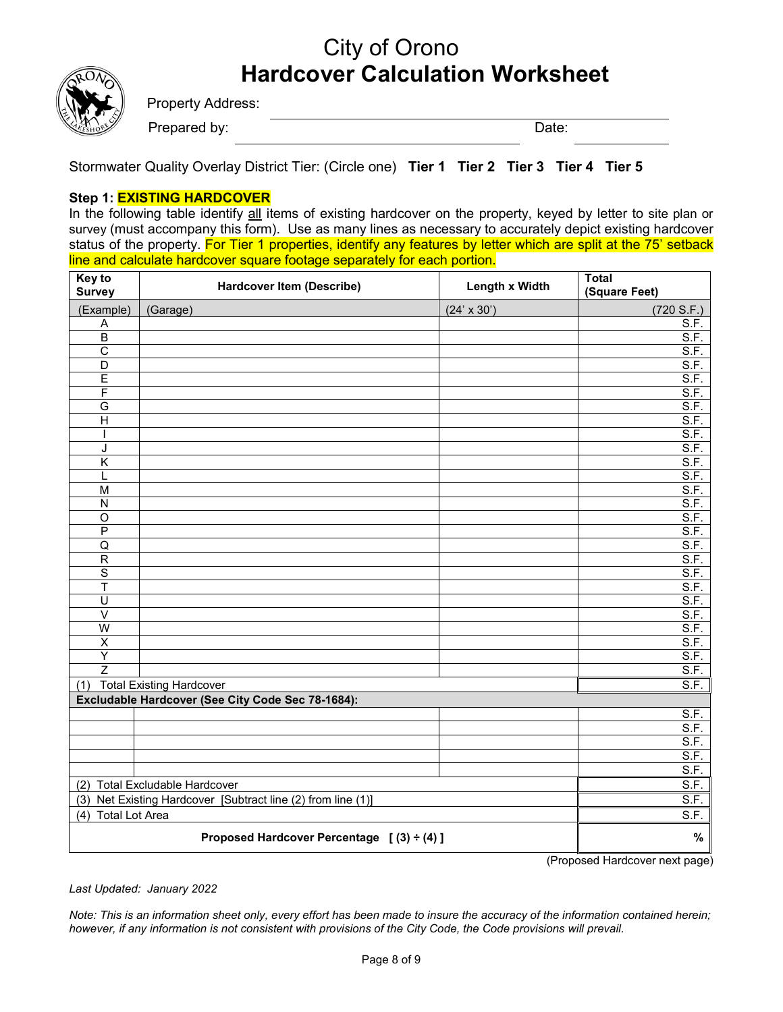## City of Orono **Hardcover Calculation Worksheet**



Property Address:

Prepared by: Date:

Stormwater Quality Overlay District Tier: (Circle one) **Tier 1 Tier 2 Tier 3 Tier 4 Tier 5**

## **Step 1: EXISTING HARDCOVER**

In the following table identify all items of existing hardcover on the property, keyed by letter to site plan or survey (must accompany this form). Use as many lines as necessary to accurately depict existing hardcover status of the property. For Tier 1 properties, identify any features by letter which are split at the 75' setback line and calculate hardcover square footage separately for each portion.

| Key to<br><b>Survey</b>                                      | <b>Hardcover Item (Describe)</b>                  | Length x Width     | <b>Total</b><br>(Square Feet) |
|--------------------------------------------------------------|---------------------------------------------------|--------------------|-------------------------------|
| (Example)                                                    | (Garage)                                          | $(24' \times 30')$ | (720 S.F.)                    |
| A                                                            |                                                   |                    | $\overline{\mathsf{S.F.}}$    |
| $\overline{B}$                                               |                                                   |                    | S.F.                          |
| $\overline{\text{c}}$                                        |                                                   |                    | S.F.                          |
| $\overline{D}$                                               |                                                   |                    | S.F.                          |
| Ē                                                            |                                                   |                    | S.F.                          |
| F                                                            |                                                   |                    | S.F.                          |
| G                                                            |                                                   |                    | $\overline{\mathsf{S.F.}}$    |
| $\overline{H}$                                               |                                                   |                    | S.F.                          |
|                                                              |                                                   |                    | S.F.                          |
| J                                                            |                                                   |                    | S.F.                          |
| $\overline{\mathsf{K}}$                                      |                                                   |                    | S.F.                          |
| L                                                            |                                                   |                    | S.F.                          |
| $\overline{M}$                                               |                                                   |                    | S.F.                          |
| $\overline{N}$                                               |                                                   |                    | S.F.                          |
| $\overline{O}$                                               |                                                   |                    | S.F.                          |
| $\overline{P}$<br>Q                                          |                                                   |                    | $\overline{\mathsf{S.F.}}$    |
| $\overline{R}$                                               |                                                   |                    | S.F.<br>S.F.                  |
| $\overline{s}$                                               |                                                   |                    | S.F.                          |
| $\overline{\mathsf{T}}$                                      |                                                   |                    | S.F.                          |
| $\overline{\mathsf{U}}$                                      |                                                   |                    | S.F.                          |
| $\overline{\vee}$                                            |                                                   |                    | S.F.                          |
| $\overline{W}$                                               |                                                   |                    | S.F.                          |
| $\overline{\mathsf{x}}$                                      |                                                   |                    | S.F.                          |
| Y                                                            |                                                   |                    | <u>S.F.</u>                   |
| $\overline{z}$                                               |                                                   |                    | S.F.                          |
| (1)                                                          | <b>Total Existing Hardcover</b>                   |                    | S.F.                          |
|                                                              | Excludable Hardcover (See City Code Sec 78-1684): |                    |                               |
|                                                              |                                                   |                    | S.F.                          |
|                                                              |                                                   |                    | S.F.                          |
|                                                              |                                                   |                    | $\overline{S.F.}$             |
|                                                              |                                                   |                    | S.F.                          |
|                                                              |                                                   |                    | S.F.                          |
| <b>Total Excludable Hardcover</b><br>(2)                     |                                                   | S.F.               |                               |
| (3) Net Existing Hardcover [Subtract line (2) from line (1)] |                                                   | S.F.               |                               |
| (4) Total Lot Area                                           |                                                   | S.F.               |                               |
| Proposed Hardcover Percentage $(3) \div (4)$ ]               |                                                   |                    | %                             |

(Proposed Hardcover next page)

*Last Updated: January 2022*